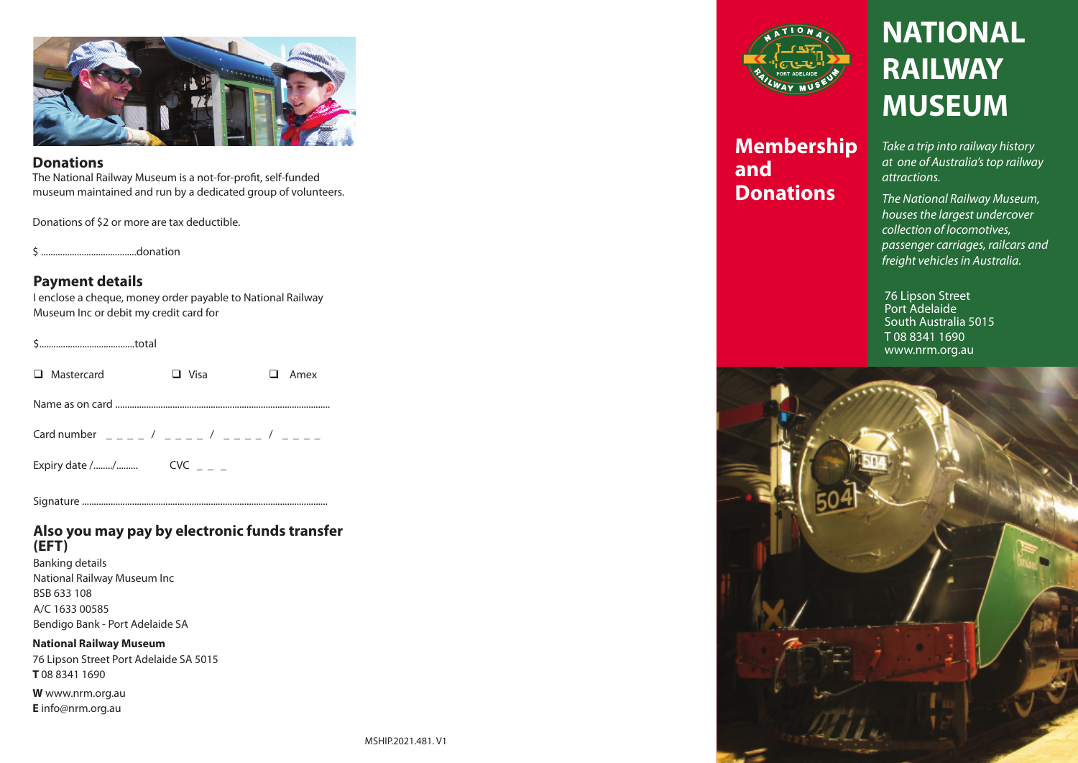

#### **Donations**

The National Railway Museum is a not-for-profit, self-funded museum maintained and run by a dedicated group of volunteers.

Donations of \$2 or more are tax deductible.

\$ ........................................donation

## **Payment details**

I enclose a cheque, money order payable to National Railway Museum Inc or debit my credit card for

\$........................................total

| <b>D</b> Mastercard | $\Box$ Visa | $\Box$ Amex |
|---------------------|-------------|-------------|
|                     |             |             |

Name as on card ..........................................................................................

Card number  $\frac{1}{2}$   $\frac{1}{2}$   $\frac{1}{2}$   $\frac{1}{2}$   $\frac{1}{2}$   $\frac{1}{2}$   $\frac{1}{2}$   $\frac{1}{2}$   $\frac{1}{2}$   $\frac{1}{2}$   $\frac{1}{2}$   $\frac{1}{2}$   $\frac{1}{2}$   $\frac{1}{2}$   $\frac{1}{2}$   $\frac{1}{2}$   $\frac{1}{2}$   $\frac{1}{2}$   $\frac{1}{2}$   $\frac{1}{2}$   $\frac{1}{2}$ 

Expiry date /......../......... CVC \_ \_ \_

Signature .......................................................................................................

## **Also you may pay by electronic funds transfer (EFT)**

Banking details National Railway Museum Inc BSB 633 108 A/C 1633 00585 Bendigo Bank - Port Adelaide SA

**National Railway Museum**  76 Lipson Street Port Adelaide SA 5015 **T** 08 8341 1690

**W** www.nrm.org.au **E** info@nrm.org.au



**Membership and Donations**

# **NATIONAL RAILWAY MUSEUM**

*Take a trip into railway history at one of Australia's top railway attractions.*

*The National Railway Museum, houses the largest undercover collection of locomotives, passenger carriages, railcars and freight vehicles in Australia.*

76 Lipson Street Port Adelaide South Australia 5015 T 08 8341 1690 www.nrm.org.au